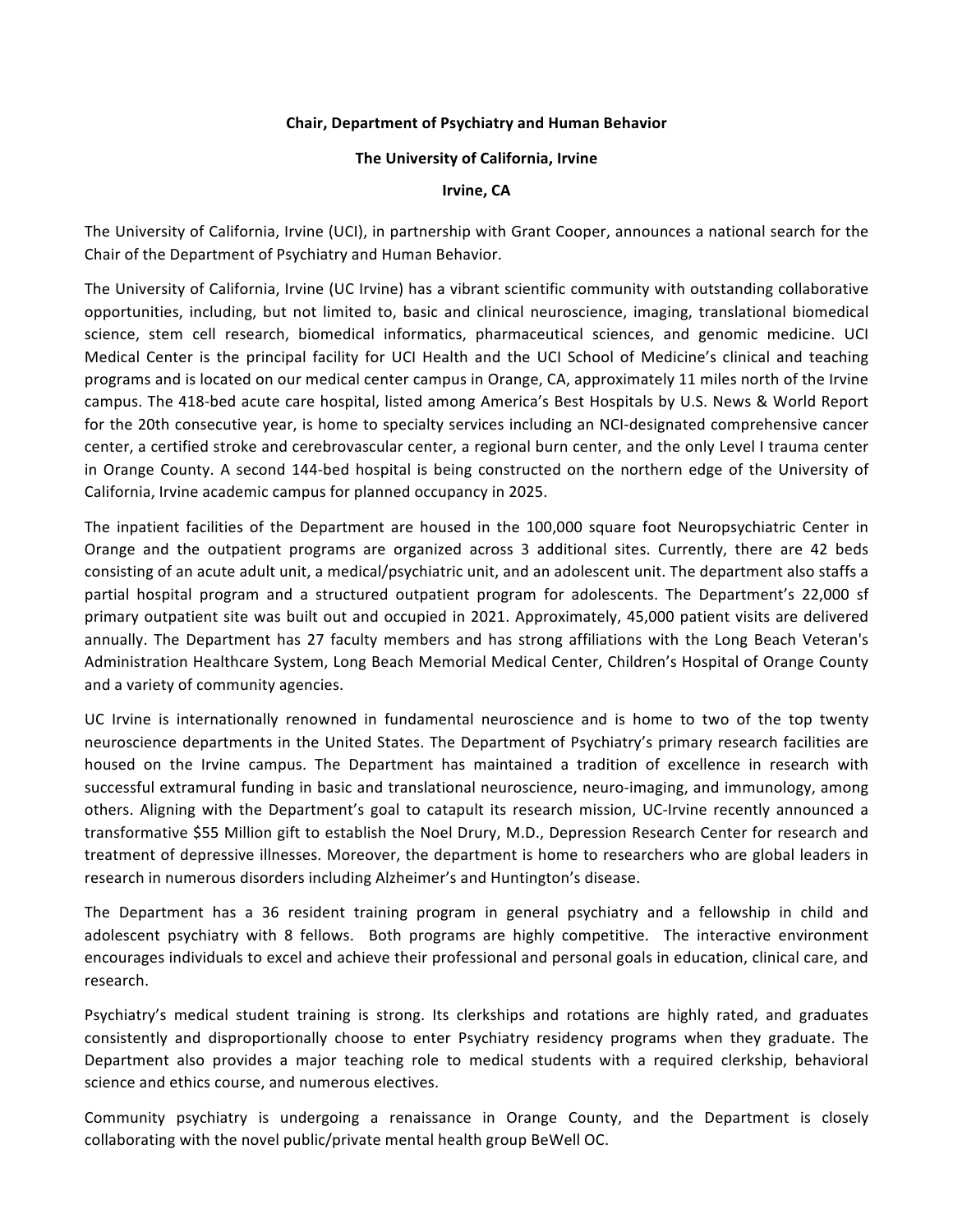## **Chair, Department of Psychiatry and Human Behavior**

## **The University of California, Irvine**

## **Irvine, CA**

The University of California, Irvine (UCI), in partnership with Grant Cooper, announces a national search for the Chair of the Department of Psychiatry and Human Behavior.

The University of California, Irvine (UC Irvine) has a vibrant scientific community with outstanding collaborative opportunities, including, but not limited to, basic and clinical neuroscience, imaging, translational biomedical science, stem cell research, biomedical informatics, pharmaceutical sciences, and genomic medicine. UCI Medical Center is the principal facility for UCI Health and the UCI School of Medicine's clinical and teaching programs and is located on our medical center campus in Orange, CA, approximately 11 miles north of the Irvine campus. The 418-bed acute care hospital, listed among America's Best Hospitals by U.S. News & World Report for the 20th consecutive year, is home to specialty services including an NCI-designated comprehensive cancer center, a certified stroke and cerebrovascular center, a regional burn center, and the only Level I trauma center in Orange County. A second 144-bed hospital is being constructed on the northern edge of the University of California, Irvine academic campus for planned occupancy in 2025.

The inpatient facilities of the Department are housed in the 100,000 square foot Neuropsychiatric Center in Orange and the outpatient programs are organized across 3 additional sites. Currently, there are 42 beds consisting of an acute adult unit, a medical/psychiatric unit, and an adolescent unit. The department also staffs a partial hospital program and a structured outpatient program for adolescents. The Department's 22,000 sf primary outpatient site was built out and occupied in 2021. Approximately, 45,000 patient visits are delivered annually. The Department has 27 faculty members and has strong affiliations with the Long Beach Veteran's Administration Healthcare System, Long Beach Memorial Medical Center, Children's Hospital of Orange County and a variety of community agencies.

UC Irvine is internationally renowned in fundamental neuroscience and is home to two of the top twenty neuroscience departments in the United States. The Department of Psychiatry's primary research facilities are housed on the Irvine campus. The Department has maintained a tradition of excellence in research with successful extramural funding in basic and translational neuroscience, neuro-imaging, and immunology, among others. Aligning with the Department's goal to catapult its research mission, UC-Irvine recently announced a transformative \$55 Million gift to establish the Noel Drury, M.D., Depression Research Center for research and treatment of depressive illnesses. Moreover, the department is home to researchers who are global leaders in research in numerous disorders including Alzheimer's and Huntington's disease.

The Department has a 36 resident training program in general psychiatry and a fellowship in child and adolescent psychiatry with 8 fellows. Both programs are highly competitive. The interactive environment encourages individuals to excel and achieve their professional and personal goals in education, clinical care, and research. 

Psychiatry's medical student training is strong. Its clerkships and rotations are highly rated, and graduates consistently and disproportionally choose to enter Psychiatry residency programs when they graduate. The Department also provides a major teaching role to medical students with a required clerkship, behavioral science and ethics course, and numerous electives.

Community psychiatry is undergoing a renaissance in Orange County, and the Department is closely collaborating with the novel public/private mental health group BeWell OC.